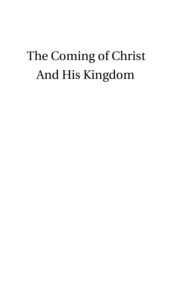# The Coming of Christ And His Kingdom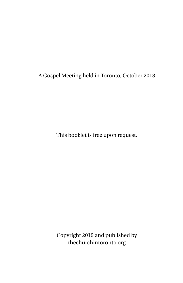A Gospel Meeting held in Toronto, October 2018

This booklet is free upon request.

Copyright 2019 and published by thechurchintoronto.org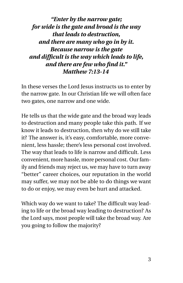*"Enter by the narrow gate; for wide is the gate and broad is the way that leads to destruction, and there are many who go in by it. Because narrow is the gate and difficult is the way which leads to life, and there are few who find it." Matthew 7:13-14*

In these verses the Lord Jesus instructs us to enter by the narrow gate. In our Christian life we will often face two gates, one narrow and one wide.

He tells us that the wide gate and the broad way leads to destruction and many people take this path. If we know it leads to destruction, then why do we still take it? The answer is, it's easy, comfortable, more convenient, less hassle; there's less personal cost involved. The way that leads to life is narrow and difficult. Less convenient, more hassle, more personal cost. Our family and friends may reject us, we may have to turn away "better" career choices, our reputation in the world may suffer, we may not be able to do things we want to do or enjoy, we may even be hurt and attacked.

Which way do we want to take? The difficult way leading to life or the broad way leading to destruction? As the Lord says, most people will take the broad way. Are you going to follow the majority?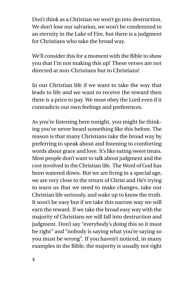Don't think as a Christian we won't go into destruction. We don't lose our salvation, we won't be condemned to an eternity in the Lake of Fire, but there is a judgment for Christians who take the broad way.

We'll consider this for a moment with the Bible to show you that I'm not making this up! These verses are not directed at non-Christians but to Christians!

In our Christian life if we want to take the way that leads to life and we want to receive the reward then there is a price to pay. We must obey the Lord even if it contradicts our own feelings and preferences.

As you're listening here tonight, you might be thinking you've never heard something like this before. The reason is that many Christians take the broad way by preferring to speak about and listening to comforting words about grace and love. It's like eating sweet treats. Most people don't want to talk about judgment and the cost involved in the Christian life. The Word of God has been watered down. But we are living in a special age, we are very close to the return of Christ and He's trying to warn us that we need to make changes, take our Christian life seriously, and wake up to know the truth. It won't be easy but if we take this narrow way we will earn the reward. If we take the broad easy way with the majority of Christians we will fall into destruction and judgment. Don't say "everybody's doing this so it must be right" and "nobody is saying what you're saying so you must be wrong". If you haven't noticed, in many examples in the Bible, the majority is usually not right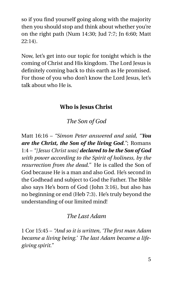so if you find yourself going along with the majority then you should stop and think about whether you're on the right path (Num 14:30; Jud 7:7; Jn 6:60; Matt 22:14).

Now, let's get into our topic for tonight which is the coming of Christ and His kingdom. The Lord Jesus is definitely coming back to this earth as He promised. For those of you who don't know the Lord Jesus, let's talk about who He is.

#### **Who is Jesus Christ**

## *The Son of God*

Matt 16:16 – *"Simon Peter answered and said, "You are the Christ, the Son of the living God."*; Romans 1:4 – *"[Jesus Christ was] declared to be the Son of God with power according to the Spirit of holiness, by the resurrection from the dead."* He is called the Son of God because He is a man and also God. He's second in the Godhead and subject to God the Father. The Bible also says He's born of God (John 3:16), but also has no beginning or end (Heb 7:3). He's truly beyond the understanding of our limited mind!

# *The Last Adam*

1 Cor 15:45 – *"And so it is written, 'The first man Adam became a living being.' The last Adam became a lifegiving spirit."*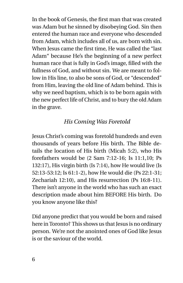In the book of Genesis, the first man that was created was Adam but he sinned by disobeying God. Sin then entered the human race and everyone who descended from Adam, which includes all of us, are born with sin. When Jesus came the first time, He was called the "last Adam" because He's the beginning of a new perfect human race that is fully in God's image, filled with the fullness of God, and without sin. We are meant to follow in His line, to also be sons of God, or "descended" from Him, leaving the old line of Adam behind. This is why we need baptism, which is to be born again with the new perfect life of Christ, and to bury the old Adam in the grave.

## *His Coming Was Foretold*

Jesus Christ's coming was foretold hundreds and even thousands of years before His birth. The Bible details the location of His birth (Micah 5:2), who His forefathers would be (2 Sam 7:12-16; Is 11:1,10; Ps 132:17), His virgin birth (Is 7:14), how He would live (Is 52:13-53:12; Is 61:1-2), how He would die (Ps 22:1-31; Zechariah 12:10), and His resurrection (Ps 16:8-11). There isn't anyone in the world who has such an exact description made about him BEFORE His birth. Do you know anyone like this?

Did anyone predict that you would be born and raised here in Toronto? This shows us that Jesus is no ordinary person. We're not the anointed ones of God like Jesus is or the saviour of the world.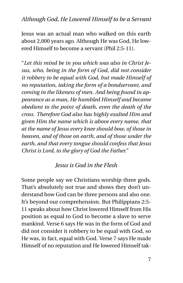#### *Although God, He Lowered Himself to be a Servant*

Jesus was an actual man who walked on this earth about 2,000 years ago. Although He was God, He lowered Himself to become a servant (Phil 2:5-11).

"*Let this mind be in you which was also in Christ Jesus, who, being in the form of God, did not consider it robbery to be equal with God, but made Himself of no reputation, taking the form of a bondservant, and coming in the likeness of men. And being found in appearance as a man, He humbled Himself and became obedient to the point of death, even the death of the cross. Therefore God also has highly exalted Him and given Him the name which is above every name, that at the name of Jesus every knee should bow, of those in heaven, and of those on earth, and of those under the earth, and that every tongue should confess that Jesus Christ is Lord, to the glory of God the Father.*"

#### *Jesus is God in the Flesh*

Some people say we Christians worship three gods. That's absolutely not true and shows they don't understand how God can be three persons and also one. It's beyond our comprehension. But Philippians 2:5- 11 speaks about how Christ lowered Himself from His position as equal to God to become a slave to serve mankind. Verse 6 says He was in the form of God and did not consider it robbery to be equal with God, so He was, in fact, equal with God. Verse 7 says He made Himself of no reputation and He lowered Himself tak-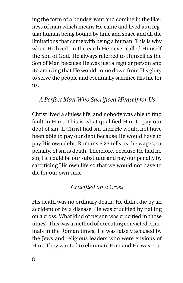ing the form of a bondservant and coming in the likeness of man which means He came and lived as a regular human being bound by time and space and all the limitations that come with being a human. This is why when He lived on the earth He never called Himself the Son of God. He always referred to Himself as the Son of Man because He was just a regular person and it's amazing that He would come down from His glory to serve the people and eventually sacrifice His life for us.

## *A Perfect Man Who Sacrificed Himself for Us*

Christ lived a sinless life, and nobody was able to find fault in Him. This is what qualified Him to pay our debt of sin. If Christ had sin then He would not have been able to pay our debt because He would have to pay His own debt. Romans 6:23 tells us the wages, or penalty, of sin is death. Therefore, because He had no sin, He could be our substitute and pay our penalty by sacrificing His own life so that we would not have to die for our own sins.

# *Crucified on a Cross*

His death was no ordinary death. He didn't die by an accident or by a disease. He was crucified by nailing on a cross. What kind of person was crucified in those times? This was a method of executing convicted criminals in the Roman times. He was falsely accused by the Jews and religious leaders who were envious of Him. They wanted to eliminate Him and He was cru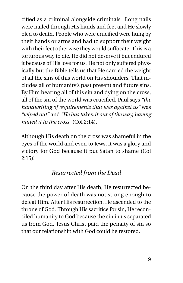cified as a criminal alongside criminals. Long nails were nailed through His hands and feet and He slowly bled to death. People who were crucified were hung by their hands or arms and had to support their weight with their feet otherwise they would suffocate. This is a torturous way to die. He did not deserve it but endured it because of His love for us. He not only suffered physically but the Bible tells us that He carried the weight of all the sins of this world on His shoulders. That includes all of humanity's past present and future sins. By Him bearing all of this sin and dying on the cross, all of the sin of the world was crucified. Paul says *"the handwriting of requirements that was against us"* was *"wiped out"* and *"He has taken it out of the way, having nailed it to the cross"* (Col 2:14).

Although His death on the cross was shameful in the eyes of the world and even to Jews, it was a glory and victory for God because it put Satan to shame (Col 2:15)!

# *Resurrected from the Dead*

On the third day after His death, He resurrected because the power of death was not strong enough to defeat Him. After His resurrection, He ascended to the throne of God. Through His sacrifice for sin, He reconciled humanity to God because the sin in us separated us from God. Jesus Christ paid the penalty of sin so that our relationship with God could be restored.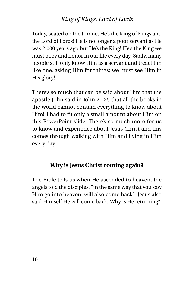# *King of Kings, Lord of Lords*

Today, seated on the throne, He's the King of Kings and the Lord of Lords! He is no longer a poor servant as He was 2,000 years ago but He's the King! He's the King we must obey and honor in our life every day. Sadly, many people still only know Him as a servant and treat Him like one, asking Him for things; we must see Him in His glory!

There's so much that can be said about Him that the apostle John said in John 21:25 that all the books in the world cannot contain everything to know about Him! I had to fit only a small amount about Him on this PowerPoint slide. There's so much more for us to know and experience about Jesus Christ and this comes through walking with Him and living in Him every day.

#### **Why is Jesus Christ coming again?**

The Bible tells us when He ascended to heaven, the angels told the disciples, "in the same way that you saw Him go into heaven, will also come back". Jesus also said Himself He will come back. Why is He returning?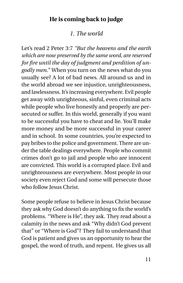#### **He is coming back to judge**

#### *1. The world*

Let's read 2 Peter 3:7 *"But the heavens and the earth which are now preserved by the same word, are reserved for fire until the day of judgment and perdition of ungodly men."* When you turn on the news what do you usually see? A lot of bad news. All around us and in the world abroad we see injustice, unrighteousness, and lawlessness. It's increasing everywhere. Evil people get away with unrighteous, sinful, even criminal acts while people who live honestly and properly are persecuted or suffer. In this world, generally if you want to be successful you have to cheat and lie. You'll make more money and be more successful in your career and in school. In some countries, you're expected to pay bribes to the police and government. There are under the table dealings everywhere. People who commit crimes don't go to jail and people who are innocent are convicted. This world is a corrupted place. Evil and unrighteousness are everywhere. Most people in our society even reject God and some will persecute those who follow Jesus Christ.

Some people refuse to believe in Jesus Christ because they ask why God doesn't do anything to fix the world's problems. "Where is He", they ask. They read about a calamity in the news and ask "Why didn't God prevent that" or "Where is God"? They fail to understand that God is patient and gives us an opportunity to hear the gospel, the word of truth, and repent. He gives us all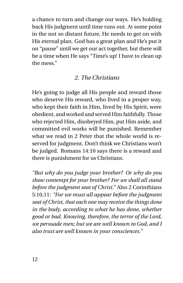a chance to turn and change our ways. He's holding back His judgment until time runs out. At some point in the not so distant future, He needs to get on with His eternal plan. God has a great plan and He's put it on "pause" until we get our act together, but there will be a time when He says "Time's up! I have to clean up the mess."

## *2. The Christians*

He's going to judge all His people and reward those who deserve His reward, who lived in a proper way, who kept their faith in Him, lived by His Spirit, were obedient, and worked and served Him faithfully. Those who rejected Him, disobeyed Him, put Him aside, and committed evil works will be punished. Remember what we read in 2 Peter that the whole world is reserved for judgment. Don't think we Christians won't be judged. Romans 14:10 says there is a reward and there is punishment for us Christians.

*"But why do you judge your brother? Or why do you show contempt for your brother? For we shall all stand before the judgment seat of Christ."* Also 2 Corinthians 5:10,11: *"For we must all appear before the judgment seat of Christ, that each one may receive the things done in the body, according to what he has done, whether good or bad. Knowing, therefore, the terror of the Lord, we persuade men; but we are well known to God, and I also trust are well known in your consciences."*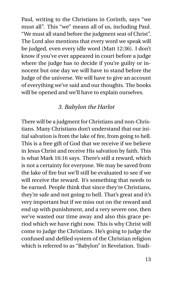Paul, writing to the Christians in Corinth, says "we must all". This "we" means all of us, including Paul. "We must all stand before the judgment seat of Christ". The Lord also mentions that every word we speak will be judged, even every idle word (Matt 12:36). I don't know if you've ever appeared in court before a judge where the judge has to decide if you're guilty or innocent but one day we will have to stand before the Judge of the universe. We will have to give an account of everything we've said and our thoughts. The books will be opened and we'll have to explain ourselves.

#### *3. Babylon the Harlot*

There will be a judgment for Christians and non-Christians. Many Christians don't understand that our initial salvation is from the lake of fire, from going to hell. This is a free gift of God that we receive if we believe in Jesus Christ and receive His salvation by faith. This is what Mark 16:16 says. There's still a reward, which is not a certainty for everyone. We may be saved from the lake of fire but we'll still be evaluated to see if we will receive the reward. It's something that needs to be earned. People think that since they're Christians, they're safe and not going to hell. That's great and it's very important but if we miss out on the reward and end up with punishment, and a very severe one, then we've wasted our time away and also this grace period which we have right now. This is why Christ will come to judge the Christians. He's going to judge the confused and defiled system of the Christian religion which is referred to as "Babylon" in Revelation. Tradi-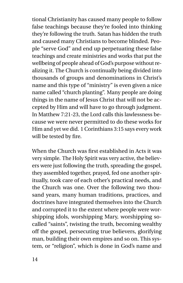tional Christianity has caused many people to follow false teachings because they're fooled into thinking they're following the truth. Satan has hidden the truth and caused many Christians to become blinded. People "serve God" and end up perpetuating these false teachings and create ministries and works that put the wellbeing of people ahead of God's purpose without realizing it. The Church is continually being divided into thousands of groups and denominations in Christ's name and this type of "ministry" is even given a nice name called "church planting". Many people are doing things in the name of Jesus Christ that will not be accepted by Him and will have to go through judgment. In Matthew 7:21-23, the Lord calls this lawlessness because we were never permitted to do these works for Him and yet we did. 1 Corinthians 3:15 says every work will be tested by fire.

When the Church was first established in Acts it was very simple. The Holy Spirit was very active, the believers were just following the truth, spreading the gospel, they assembled together, prayed, fed one another spiritually, took care of each other's practical needs, and the Church was one. Over the following two thousand years, many human traditions, practices, and doctrines have integrated themselves into the Church and corrupted it to the extent where people were worshipping idols, worshipping Mary, worshipping socalled "saints", twisting the truth, becoming wealthy off the gospel, persecuting true believers, glorifying man, building their own empires and so on. This system, or "religion", which is done in God's name and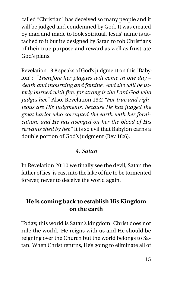called "Christian" has deceived so many people and it will be judged and condemned by God. It was created by man and made to look spiritual. Jesus' name is attached to it but it's designed by Satan to rob Christians of their true purpose and reward as well as frustrate God's plans.

Revelation 18:8 speaks of God's judgment on this "Babylon": *"Therefore her plagues will come in one day – death and mourning and famine. And she will be utterly burned with fire, for strong is the Lord God who judges her."* Also, Revelation 19:2 *"For true and righteous are His judgments, because He has judged the great harlot who corrupted the earth with her fornication; and He has avenged on her the blood of His servants shed by her."* It is so evil that Babylon earns a double portion of God's judgment (Rev 18:6).

#### *4. Satan*

In Revelation 20:10 we finally see the devil, Satan the father of lies, is cast into the lake of fire to be tormented forever, never to deceive the world again.

# **He is coming back to establish His Kingdom on the earth**

Today, this world is Satan's kingdom. Christ does not rule the world. He reigns with us and He should be reigning over the Church but the world belongs to Satan. When Christ returns, He's going to eliminate all of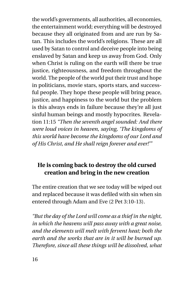the world's governments, all authorities, all economies, the entertainment world; everything will be destroyed because they all originated from and are run by Satan. This includes the world's religions. These are all used by Satan to control and deceive people into being enslaved by Satan and keep us away from God. Only when Christ is ruling on the earth will there be true justice, righteousness, and freedom throughout the world. The people of the world put their trust and hope in politicians, movie stars, sports stars, and successful people. They hope these people will bring peace, justice, and happiness to the world but the problem is this always ends in failure because they're all just sinful human beings and mostly hypocrites. Revelation 11:15 *"Then the seventh angel sounded: And there were loud voices in heaven, saying, 'The kingdoms of this world have become the kingdoms of our Lord and of His Christ, and He shall reign forever and ever!'"*

# **He is coming back to destroy the old cursed creation and bring in the new creation**

The entire creation that we see today will be wiped out and replaced because it was defiled with sin when sin entered through Adam and Eve (2 Pet 3:10-13).

*"But the day of the Lord will come as a thief in the night, in which the heavens will pass away with a great noise, and the elements will melt with fervent heat; both the earth and the works that are in it will be burned up. Therefore, since all these things will be dissolved, what*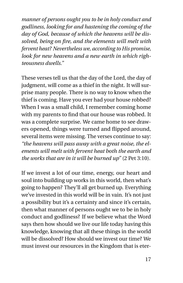*manner of persons ought you to be in holy conduct and godliness, looking for and hastening the coming of the day of God, because of which the heavens will be dissolved, being on fire, and the elements will melt with fervent heat? Nevertheless we, according to His promise, look for new heavens and a new earth in which righteousness dwells."*

These verses tell us that the day of the Lord, the day of judgment, will come as a thief in the night. It will surprise many people. There is no way to know when the thief is coming. Have you ever had your house robbed? When I was a small child, I remember coming home with my parents to find that our house was robbed. It was a complete surprise. We came home to see drawers opened, things were turned and flipped around, several items were missing. The verses continue to say: *"the heavens will pass away with a great noise, the elements will melt with fervent heat both the earth and the works that are in it will be burned up"* (2 Pet 3:10).

If we invest a lot of our time, energy, our heart and soul into building up works in this world, then what's going to happen? They'll all get burned up. Everything we've invested in this world will be in vain. It's not just a possibility but it's a certainty and since it's certain, then what manner of persons ought we to be in holy conduct and godliness? If we believe what the Word says then how should we live our life today having this knowledge, knowing that all these things in the world will be dissolved? How should we invest our time? We must invest our resources in the Kingdom that is eter-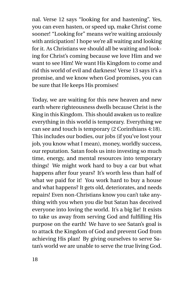nal. Verse 12 says "looking for and hastening". Yes, you can even hasten, or speed up, make Christ come sooner! "Looking for" means we're waiting anxiously with anticipation! I hope we're all waiting and looking for it. As Christians we should all be waiting and looking for Christ's coming because we love Him and we want to see Him! We want His Kingdom to come and rid this world of evil and darkness! Verse 13 says it's a promise, and we know when God promises, you can be sure that He keeps His promises!

Today, we are waiting for this new heaven and new earth where righteousness dwells because Christ is the King in this Kingdom. This should awaken us to realize everything in this world is temporary. Everything we can see and touch is temporary (2 Corinthians 4:18). This includes our bodies, our jobs (if you've lost your job, you know what I mean), money, worldly success, our reputation. Satan fools us into investing so much time, energy, and mental resources into temporary things! We might work hard to buy a car but what happens after four years? It's worth less than half of what we paid for it! You work hard to buy a house and what happens? It gets old, deteriorates, and needs repairs! Even non-Christians know you can't take anything with you when you die but Satan has deceived everyone into loving the world. It's a big lie! It exists to take us away from serving God and fulfilling His purpose on the earth! We have to see Satan's goal is to attack the Kingdom of God and prevent God from achieving His plan! By giving ourselves to serve Satan's world we are unable to serve the true living God.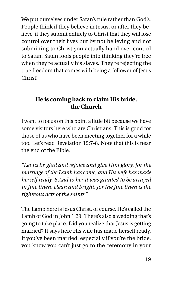We put ourselves under Satan's rule rather than God's. People think if they believe in Jesus, or after they believe, if they submit entirely to Christ that they will lose control over their lives but by not believing and not submitting to Christ you actually hand over control to Satan. Satan fools people into thinking they're free when they're actually his slaves. They're rejecting the true freedom that comes with being a follower of Jesus Christ!

# **He is coming back to claim His bride, the Church**

I want to focus on this point a little bit because we have some visitors here who are Christians. This is good for those of us who have been meeting together for a while too. Let's read Revelation 19:7-8. Note that this is near the end of the Bible.

*"Let us be glad and rejoice and give Him glory, for the marriage of the Lamb has come, and His wife has made herself ready. 8 And to her it was granted to be arrayed in fine linen, clean and bright, for the fine linen is the righteous acts of the saints."*

The Lamb here is Jesus Christ, of course, He's called the Lamb of God in John 1:29. There's also a wedding that's going to take place. Did you realize that Jesus is getting married? It says here His wife has made herself ready. If you've been married, especially if you're the bride, you know you can't just go to the ceremony in your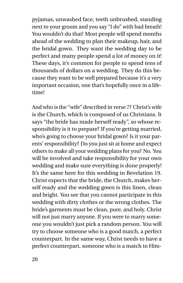pyjamas, unwashed face, teeth unbrushed, standing next to your groom and you say "I do" with bad breath! You wouldn't do that! Most people will spend months ahead of the wedding to plan their makeup, hair, and the bridal gown. They want the wedding day to be perfect and many people spend a lot of money on it! These days, it's common for people to spend tens of thousands of dollars on a wedding. They do this because they want to be well prepared because it's a very important occasion, one that's hopefully once in a lifetime!

And who is the "wife" described in verse 7? Christ's wife is the Church, which is composed of us Christians. It says "the bride has made herself ready", so whose responsibility is it to prepare? If you're getting married, who's going to choose your bridal gown? Is it your parents' responsibility? Do you just sit at home and expect others to make all your wedding plans for you? No. You will be involved and take responsibility for your own wedding and make sure everything is done properly! It's the same here for this wedding in Revelation 19. Christ expects that the bride, the Church, makes herself ready and the wedding gown is this linen, clean and bright. You see that you cannot participate in this wedding with dirty clothes or the wrong clothes. The bride's garments must be clean, pure, and holy. Christ will not just marry anyone. If you were to marry someone you wouldn't just pick a random person. You will try to choose someone who is a good match, a perfect counterpart. In the same way, Christ needs to have a perfect counterpart, someone who is a match to Him-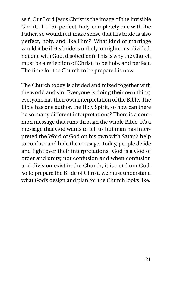self. Our Lord Jesus Christ is the image of the invisible God (Col 1:15), perfect, holy, completely one with the Father, so wouldn't it make sense that His bride is also perfect, holy, and like Him? What kind of marriage would it be if His bride is unholy, unrighteous, divided, not one with God, disobedient? This is why the Church must be a reflection of Christ, to be holy, and perfect. The time for the Church to be prepared is now.

The Church today is divided and mixed together with the world and sin. Everyone is doing their own thing, everyone has their own interpretation of the Bible. The Bible has one author, the Holy Spirit, so how can there be so many different interpretations? There is a common message that runs through the whole Bible. It's a message that God wants to tell us but man has interpreted the Word of God on his own with Satan's help to confuse and hide the message. Today, people divide and fight over their interpretations. God is a God of order and unity, not confusion and when confusion and division exist in the Church, it is not from God. So to prepare the Bride of Christ, we must understand what God's design and plan for the Church looks like.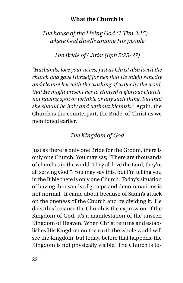#### **What the Church is**

*The house of the Living God (1 Tim 3:15) – where God dwells among His people*

*The Bride of Christ (Eph 5:25-27)*

*"Husbands, love your wives, just as Christ also loved the church and gave Himself for her, that He might sanctify and cleanse her with the washing of water by the word, that He might present her to Himself a glorious church, not having spot or wrinkle or any such thing, but that she should be holy and without blemish."* Again, the Church is the counterpart, the Bride, of Christ as we mentioned earlier.

# *The Kingdom of God*

Just as there is only one Bride for the Groom, there is only one Church. You may say, "There are thousands of churches in the world! They all love the Lord, they're all serving God!". You may say this, but I'm telling you in the Bible there is only one Church. Today's situation of having thousands of groups and denominations is not normal. It came about because of Satan's attack on the oneness of the Church and by dividing it. He does this because the Church is the expression of the Kingdom of God, it's a manifestation of the unseen Kingdom of Heaven. When Christ returns and establishes His Kingdom on the earth the whole world will see the Kingdom, but today, before that happens, the Kingdom is not physically visible. The Church is to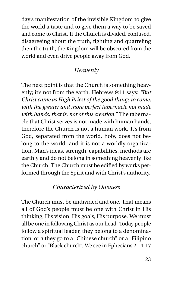day's manifestation of the invisible Kingdom to give the world a taste and to give them a way to be saved and come to Christ. If the Church is divided, confused, disagreeing about the truth, fighting and quarreling then the truth, the Kingdom will be obscured from the world and even drive people away from God.

#### *Heavenly*

The next point is that the Church is something heavenly; it's not from the earth. Hebrews 9:11 says: *"But Christ came as High Priest of the good things to come, with the greater and more perfect tabernacle not made with hands, that is, not of this creation."* The tabernacle that Christ serves is not made with human hands, therefore the Church is not a human work. It's from God, separated from the world, holy, does not belong to the world, and it is not a worldly organization. Man's ideas, strength, capabilities, methods are earthly and do not belong in something heavenly like the Church. The Church must be edified by works performed through the Spirit and with Christ's authority.

# *Characterized by Oneness*

The Church must be undivided and one. That means all of God's people must be one with Christ in His thinking, His vision, His goals, His purpose. We must all be one in following Christ as our head. Today people follow a spiritual leader, they belong to a denomination, or a they go to a "Chinese church" or a "Filipino church" or "Black church". We see in Ephesians 2:14-17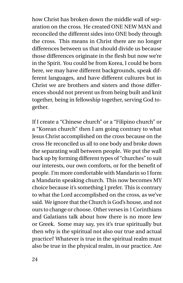how Christ has broken down the middle wall of separation on the cross. He created ONE NEW MAN and reconciled the different sides into ONE body through the cross. This means in Christ there are no longer differences between us that should divide us because those differences originate in the flesh but now we're in the Spirit. You could be from Korea, I could be born here, we may have different backgrounds, speak different languages, and have different cultures but in Christ we are brothers and sisters and those differences should not prevent us from being built and knit together, being in fellowship together, serving God together.

If I create a "Chinese church" or a "Filipino church" or a "Korean church" then I am going contrary to what Jesus Christ accomplished on the cross because on the cross He reconciled us all to one body and broke down the separating wall between people. We put the wall back up by forming different types of "churches" to suit our interests, our own comforts, or for the benefit of people. I'm more comfortable with Mandarin so I form a Mandarin speaking church. This now becomes MY choice because it's something I prefer. This is contrary to what the Lord accomplished on the cross, as we've said. We ignore that the Church is God's house, and not ours to change or choose. Other verses in 1 Corinthians and Galatians talk about how there is no more Jew or Greek. Some may say, yes it's true spiritually but then why is the spiritual not also our true and actual practice? Whatever is true in the spiritual realm must also be true in the physical realm, in our practice. Are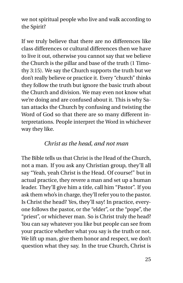we not spiritual people who live and walk according to the Spirit?

If we truly believe that there are no differences like class differences or cultural differences then we have to live it out, otherwise you cannot say that we believe the Church is the pillar and base of the truth (1 Timothy 3:15). We say the Church supports the truth but we don't really believe or practice it. Every "church" thinks they follow the truth but ignore the basic truth about the Church and division. We may even not know what we're doing and are confused about it. This is why Satan attacks the Church by confusing and twisting the Word of God so that there are so many different interpretations. People interpret the Word in whichever way they like.

## *Christ as the head, and not man*

The Bible tells us that Christ is the Head of the Church, not a man. If you ask any Christian group, they'll all say "Yeah, yeah Christ is the Head. Of course!" but in actual practice, they revere a man and set up a human leader. They'll give him a title, call him "Pastor". If you ask them who's in charge, they'll refer you to the pastor. Is Christ the head? Yes, they'll say! In practice, everyone follows the pastor, or the "elder", or the "pope", the "priest", or whichever man. So is Christ truly the head? You can say whatever you like but people can see from your practice whether what you say is the truth or not. We lift up man, give them honor and respect, we don't question what they say. In the true Church, Christ is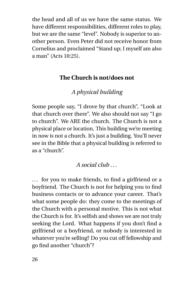the head and all of us we have the same status. We have different responsibilities, different roles to play, but we are the same "level". Nobody is superior to another person. Even Peter did not receive honor from Cornelius and proclaimed "Stand up; I myself am also a man" (Acts 10:25).

## **The Church is not/does not**

# *A physical building*

Some people say, "I drove by that church", "Look at that church over there". We also should not say "I go to church". We ARE the church. The Church is not a physical place or location. This building we're meeting in now is not a church. It's just a building. You'll never see in the Bible that a physical building is referred to as a "church".

# *A social club . . .*

.. . for you to make friends, to find a girlfriend or a boyfriend. The Church is not for helping you to find business contacts or to advance your career. That's what some people do: they come to the meetings of the Church with a personal motive. This is not what the Church is for. It's selfish and shows we are not truly seeking the Lord. What happens if you don't find a girlfriend or a boyfriend, or nobody is interested in whatever you're selling? Do you cut off fellowship and go find another "church"?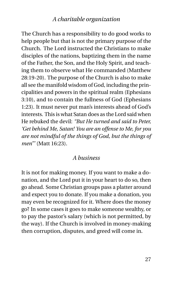#### *A charitable organization*

The Church has a responsibility to do good works to help people but that is not the primary purpose of the Church. The Lord instructed the Christians to make disciples of the nations, baptizing them in the name of the Father, the Son, and the Holy Spirit, and teaching them to observe what He commanded (Matthew 28:19-20). The purpose of the Church is also to make all see the manifold wisdom of God, including the principalities and powers in the spiritual realm (Ephesians 3:10), and to contain the fullness of God (Ephesians 1:23). It must never put man's interests ahead of God's interests. This is what Satan does as the Lord said when He rebuked the devil: *"But He turned and said to Peter, 'Get behind Me, Satan! You are an offense to Me, for you are not mindful of the things of God, but the things of men"'* (Matt 16:23).

#### *A business*

It is not for making money. If you want to make a donation, and the Lord put it in your heart to do so, then go ahead. Some Christian groups pass a platter around and expect you to donate. If you make a donation, you may even be recognized for it. Where does the money go? In some cases it goes to make someone wealthy, or to pay the pastor's salary (which is not permitted, by the way). If the Church is involved in money-making then corruption, disputes, and greed will come in.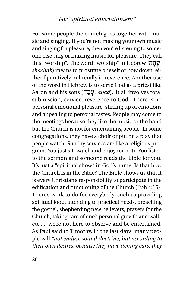#### *For "spiritual entertainment"*

For some people the church goes together with music and singing. If you're not making your own music and singing for pleasure, then you're listening to someone else sing or making music for pleasure. They call this "worship". The word "worship" in Hebrew (שְׁחַה, *shachah*) means to prostrate oneself or bow down, either figuratively or literally in reverence. Another use of the word in Hebrew is to serve God as a priest like Aaron and his sons (!דַבָע, *abad*). It all involves total submission, service, reverence to God. There is no personal emotional pleasure, stirring up of emotions and appealing to personal tastes. People may come to the meetings because they like the music or the band but the Church is not for entertaining people. In some congregations, they have a choir or put on a play that people watch. Sunday services are like a religious program. You just sit, watch and enjoy (or not). You listen to the sermon and someone reads the Bible for you. It's just a "spiritual show" in God's name. Is that how the Church is in the Bible? The Bible shows us that it is every Christian's responsibility to participate in the edification and functioning of the Church (Eph 4:16). There's work to do for everybody, such as providing spiritual food, attending to practical needs, preaching the gospel, shepherding new believers, prayers for the Church, taking care of one's personal growth and walk, etc ...; we're not here to observe and be entertained. As Paul said to Timothy, in the last days, many people will *"not endure sound doctrine, but according to their own desires, because they have itching ears, they*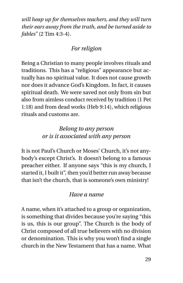*will heap up for themselves teachers, and they will turn their ears away from the truth, and be turned aside to fables"* (2 Tim 4:3-4).

#### *For religion*

Being a Christian to many people involves rituals and traditions. This has a "religious" appearance but actually has no spiritual value. It does not cause growth nor does it advance God's Kingdom. In fact, it causes spiritual death. We were saved not only from sin but also from aimless conduct received by tradition (1 Pet 1:18) and from dead works (Heb 9:14), which religious rituals and customs are.

# *Belong to any person or is it associated with any person*

It is not Paul's Church or Moses' Church, it's not anybody's except Christ's. It doesn't belong to a famous preacher either. If anyone says "this is my church, I started it, I built it", then you'd better run away because that isn't the church, that is someone's own ministry!

## *Have a name*

A name, when it's attached to a group or organization, is something that divides because you're saying "this is us, this is our group". The Church is the body of Christ composed of all true believers with no division or denomination. This is why you won't find a single church in the New Testament that has a name. What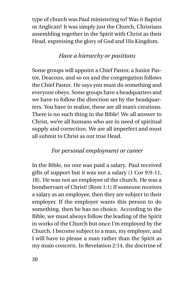type of church was Paul ministering to? Was it Baptist or Anglican? It was simply just the Church, Christians assembling together in the Spirit with Christ as their Head, expressing the glory of God and His Kingdom.

# *Have a hierarchy or positions*

Some groups will appoint a Chief Pastor, a Junior Pastor, Deacons, and so on and the congregation follows the Chief Pastor. He says you must do something and everyone obeys. Some groups have a headquarters and we have to follow the direction set by the headquarters. You have to realize, these are all man's creations. There is no such thing in the Bible! We all answer to Christ, we're all humans who are in need of spiritual supply and correction. We are all imperfect and must all submit to Christ as our true Head.

#### *For personal employment or career*

In the Bible, no one was paid a salary. Paul received gifts of support but it was not a salary (1 Cor 9:9-11, 18). He was not an employee of the church. He was a bondservant of Christ! (Rom 1:1) If someone receives a salary as an employee, then they are subject to their employer. If the employer wants this person to do something, then he has no choice. According to the Bible, we must always follow the leading of the Spirit in works of the Church but once I'm employed by the Church, I become subject to a man, my employer, and I will have to please a man rather than the Spirit as my main concern. In Revelation 2:14, the doctrine of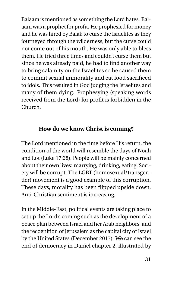Balaam is mentioned as something the Lord hates. Balaam was a prophet for profit. He prophesied for money and he was hired by Balak to curse the Israelites as they journeyed through the wilderness, but the curse could not come out of his mouth. He was only able to bless them. He tried three times and couldn't curse them but since he was already paid, he had to find another way to bring calamity on the Israelites so he caused them to commit sexual immorality and eat food sacrificed to idols. This resulted in God judging the Israelites and many of them dying. Prophesying (speaking words received from the Lord) for profit is forbidden in the Church.

## **How do we know Christ is coming?**

The Lord mentioned in the time before His return, the condition of the world will resemble the days of Noah and Lot (Luke 17:28). People will be mainly concerned about their own lives: marrying, drinking, eating. Society will be corrupt. The LGBT (homosexual/transgender) movement is a good example of this corruption. These days, morality has been flipped upside down. Anti-Christian sentiment is increasing.

In the Middle-East, political events are taking place to set up the Lord's coming such as the development of a peace plan between Israel and her Arab neighbors, and the recognition of Jerusalem as the capital city of Israel by the United States (December 2017). We can see the end of democracy in Daniel chapter 2, illustrated by